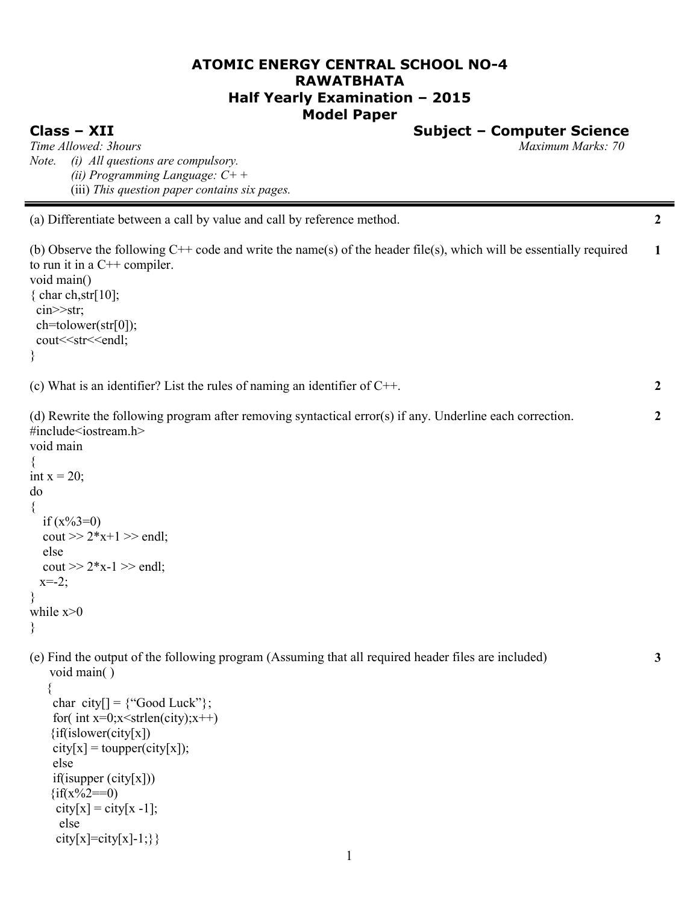# **ATOMIC ENERGY CENTRAL SCHOOL NO-4 RAWATBHATA Half Yearly Examination – 2015 Model Paper**

**Class – XII Subject – Computer Science**

**2**

**2**

**2**

**3**

*Time Allowed: 3hours Maximum Marks: 70 Note. (i) All questions are compulsory. (ii) Programming Language: C+* + (iii) *This question paper contains six pages.*

(a) Differentiate between a call by value and call by reference method.

(b) Observe the following C++ code and write the name(s) of the header file(s), which will be essentially required to run it in a  $C++$  compiler. void main() { char ch, str[ $10$ ]; cin>>str; ch=tolower(str[0]); cout<<str<<endl; } **1**

(c) What is an identifier? List the rules of naming an identifier of C++.

(d) Rewrite the following program after removing syntactical error(s) if any. Underline each correction. #include<iostream.h> void main { int  $x = 20$ : do { if  $(x\%3=0)$  $\text{cout} >> 2*x+1 >> \text{endl};$  else cout  $>> 2*x-1 >>$  endl;  $x = -2$ ; } while  $x>0$ } (e) Find the output of the following program (Assuming that all required header files are included) void main( ) { char city $[] = {``Good Luckily''};$ for( int  $x=0; x \leq x$  (city);  $x++$ ) {if(islower(city[x])  $city[x] = tower(city[x]);$  else if(isupper (city[x]))  $\{if(x\%2 == 0)$  $city[x] = city[x - 1];$  else city[x]=city[x]-1;}}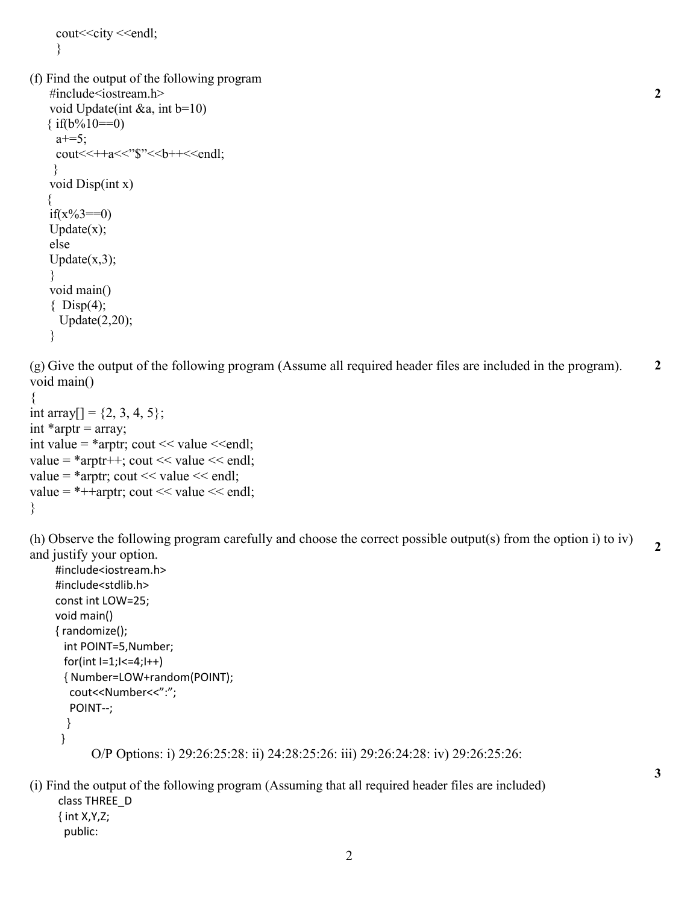```
 cout<<city <<endl;
 }
```

```
(f) Find the output of the following program 
     #include<iostream.h>
     void Update(int &a, int b=10)
   \{ if(b%10==0)
     a+=5;
     \text{cout} \leq \text{++a} \leq \text{``$``<-b++<-end!}; }
     void Disp(int x)
\{if(x\%3 == 0)
    Update(x);
     else
    Update(x,3);
     }
     void main()
    \{ Disp(4);
       Update(2,20); 
     }
```
(g) Give the output of the following program (Assume all required header files are included in the program). void main() **2**

**2**

**2**

**3**

```
{
int array[] = \{2, 3, 4, 5\};
int *arptr = array;
int value = *arptr; cout << value << endl;
value = *arptr++; cout << value << endl;
value = *arptr; cout << value << endl;
value = *+-arptr; cout << value << endl;
}
```
(h) Observe the following program carefully and choose the correct possible output(s) from the option i) to iv) and justify your option.

```
 #include<iostream.h> 
 #include<stdlib.h> 
 const int LOW=25; 
 void main() 
 { randomize(); 
  int POINT=5,Number; 
 for(int I=1; I<=4; I++) { Number=LOW+random(POINT); 
  cout<<Number<<":";
   POINT--;
   } 
  }
        O/P Options: i) 29:26:25:28: ii) 24:28:25:26: iii) 29:26:24:28: iv) 29:26:25:26:
```
(i) Find the output of the following program (Assuming that all required header files are included) class THREE\_D { int X,Y,Z; public:

2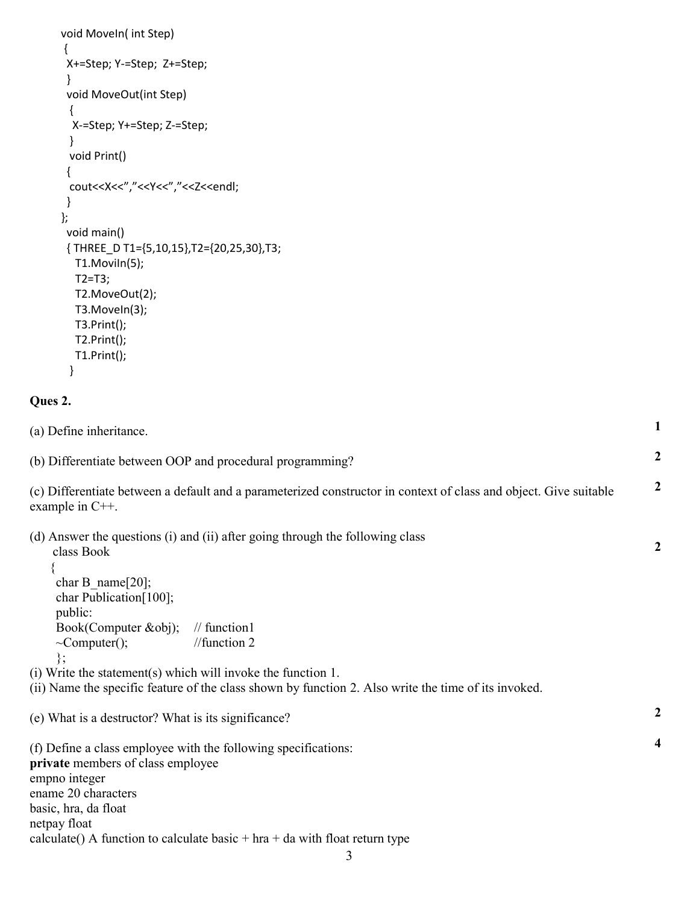| void Moveln(int Step)                                                                                                                   |                  |
|-----------------------------------------------------------------------------------------------------------------------------------------|------------------|
| X+=Step; Y-=Step; Z+=Step;                                                                                                              |                  |
| ł                                                                                                                                       |                  |
| void MoveOut(int Step)                                                                                                                  |                  |
| ₹<br>X-=Step; Y+=Step; Z-=Step;                                                                                                         |                  |
|                                                                                                                                         |                  |
| void Print()                                                                                                                            |                  |
|                                                                                                                                         |                  |
| cout< <x<<","<<y<<","<<z<<endl;< th=""><th></th></x<<","<<y<<","<<z<<endl;<>                                                            |                  |
| ł                                                                                                                                       |                  |
| };                                                                                                                                      |                  |
| void main()                                                                                                                             |                  |
| {THREE_D T1={5,10,15},T2={20,25,30},T3;<br>T1.Moviln(5);                                                                                |                  |
| $T2=T3;$                                                                                                                                |                  |
| T2.MoveOut(2);                                                                                                                          |                  |
| T3.Moveln(3);                                                                                                                           |                  |
| T3.Print();                                                                                                                             |                  |
| T2.Print();                                                                                                                             |                  |
| T1.Print();                                                                                                                             |                  |
|                                                                                                                                         |                  |
| Ques 2.                                                                                                                                 |                  |
| (a) Define inheritance.                                                                                                                 | 1                |
| (b) Differentiate between OOP and procedural programming?                                                                               | 2                |
| (c) Differentiate between a default and a parameterized constructor in context of class and object. Give suitable<br>example in $C++$ . | 2                |
| (d) Answer the questions (i) and (ii) after going through the following class<br>class Book                                             | $\boldsymbol{2}$ |
|                                                                                                                                         |                  |
| char B name $[20]$ ;                                                                                                                    |                  |
| char Publication[100];                                                                                                                  |                  |
| public:<br>Book(Computer &obj);<br>$\frac{1}{\pi}$ function 1                                                                           |                  |
| //function $2$<br>$\sim$ Computer();                                                                                                    |                  |
| };                                                                                                                                      |                  |
| (i) Write the statement(s) which will invoke the function 1.                                                                            |                  |
| (ii) Name the specific feature of the class shown by function 2. Also write the time of its invoked.                                    |                  |
| (e) What is a destructor? What is its significance?                                                                                     | 2                |
| (f) Define a class employee with the following specifications:                                                                          | 4                |
| private members of class employee                                                                                                       |                  |
| empno integer                                                                                                                           |                  |
| ename 20 characters                                                                                                                     |                  |
| basic, hra, da float                                                                                                                    |                  |
| netpay float<br>calculate() A function to calculate basic $+$ hra $+$ da with float return type                                         |                  |
|                                                                                                                                         |                  |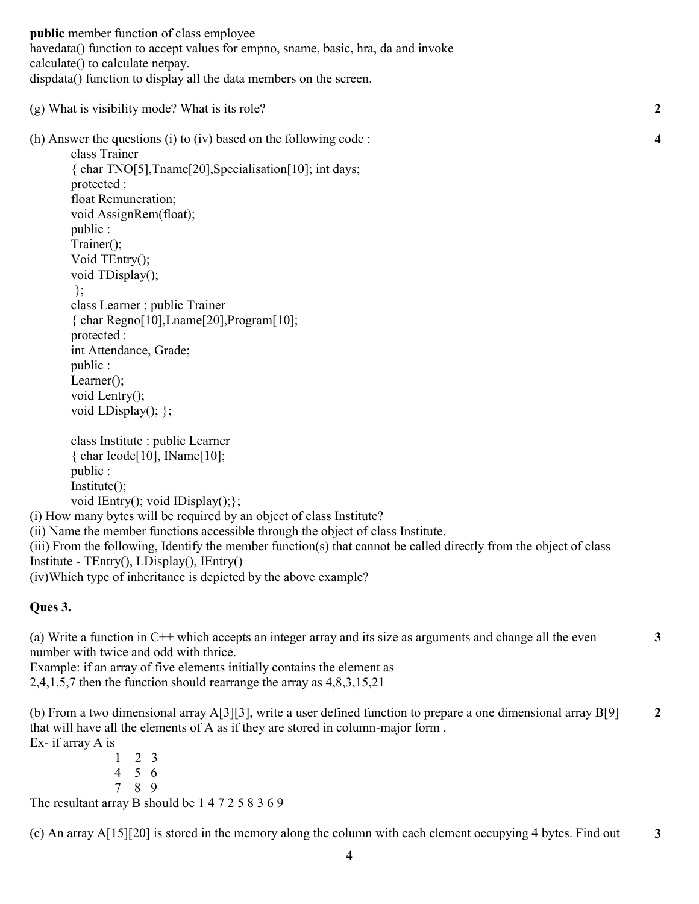**public** member function of class employee havedata() function to accept values for empno, sname, basic, hra, da and invoke calculate() to calculate netpay. dispdata() function to display all the data members on the screen.

(g) What is visibility mode? What is its role?

(h) Answer the questions (i) to (iv) based on the following code :

class Trainer { char TNO[5],Tname[20],Specialisation[10]; int days; protected : float Remuneration; void AssignRem(float); public : Trainer(); Void TEntry(); void TDisplay(); }; class Learner : public Trainer { char Regno[10],Lname[20],Program[10]; protected : int Attendance, Grade; public : Learner(); void Lentry(); void LDisplay $()$ ; };

class Institute : public Learner { char Icode[10], IName[10]; public : Institute(); void IEntry(); void IDisplay(); };

(i) How many bytes will be required by an object of class Institute? (ii) Name the member functions accessible through the object of class Institute. (iii) From the following, Identify the member function(s) that cannot be called directly from the object of class Institute - TEntry(), LDisplay(), IEntry() (iv)Which type of inheritance is depicted by the above example?

## **Ques 3.**

(a) Write a function in C++ which accepts an integer array and its size as arguments and change all the even number with twice and odd with thrice.

Example: if an array of five elements initially contains the element as 2,4,1,5,7 then the function should rearrange the array as 4,8,3,15,21

(b) From a two dimensional array A[3][3], write a user defined function to prepare a one dimensional array B[9] that will have all the elements of A as if they are stored in column-major form . Ex- if array A is **2**

> 1 2 3 4 5 6 7 8 9

The resultant array B should be 1 4 7 2 5 8 3 6 9

(c) An array A[15][20] is stored in the memory along the column with each element occupying 4 bytes. Find out **3**

**4**

**2**

**3**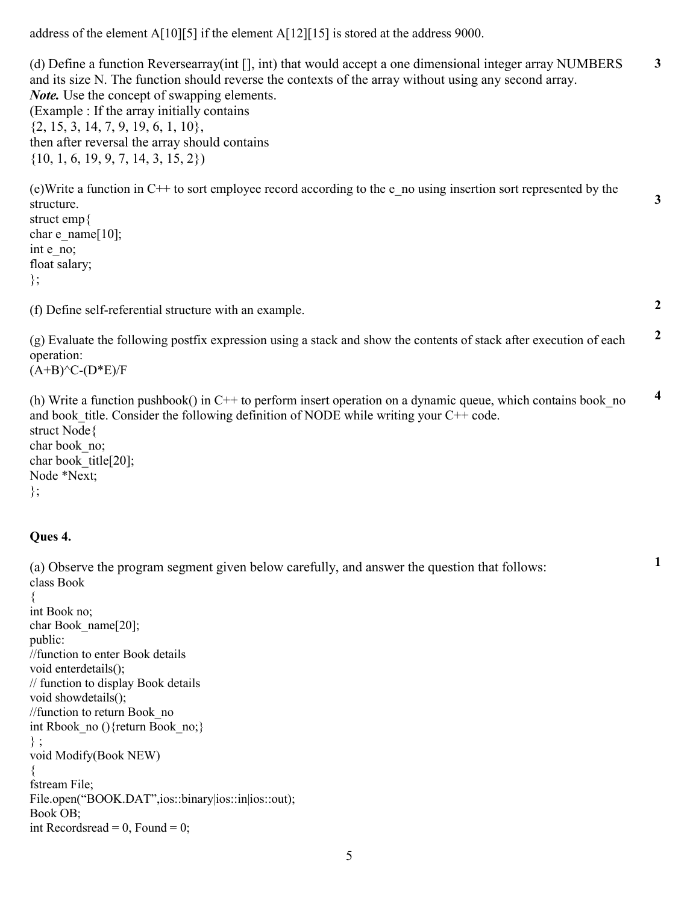address of the element A[10][5] if the element A[12][15] is stored at the address 9000.

(d) Define a function Reversearray(int [], int) that would accept a one dimensional integer array NUMBERS and its size N. The function should reverse the contexts of the array without using any second array. *Note.* Use the concept of swapping elements. (Example : If the array initially contains  $\{2, 15, 3, 14, 7, 9, 19, 6, 1, 10\},\$ then after reversal the array should contains  $\{10, 1, 6, 19, 9, 7, 14, 3, 15, 2\}$ **3**

 $(e)$ Write a function in C++ to sort employee record according to the e\_no using insertion sort represented by the structure. struct emp{ char e\_name $[10]$ ; int e\_no; float salary; }; **3**

(f) Define self-referential structure with an example.

(g) Evaluate the following postfix expression using a stack and show the contents of stack after execution of each operation:  $(A+B)^{<}C$ - $(D*E)/F$ **2**

**2**

**1**

(h) Write a function pushbook() in C++ to perform insert operation on a dynamic queue, which contains book\_no and book title. Consider the following definition of NODE while writing your  $C++$  code. struct Node{ char book no; char book title[20]; Node \*Next; }; **4**

## **Ques 4.**

(a) Observe the program segment given below carefully, and answer the question that follows: class Book

```
{
int Book no;
char Book name[20];
public:
//function to enter Book details
void enterdetails();
// function to display Book details
void showdetails();
//function to return Book_no
int Rbook no (){return Book no;}
} ;
void Modify(Book NEW)
{
fstream File;
File.open("BOOK.DAT",ios::binary|ios::in|ios::out);
Book OB;
int Recordsread = 0, Found = 0;
```